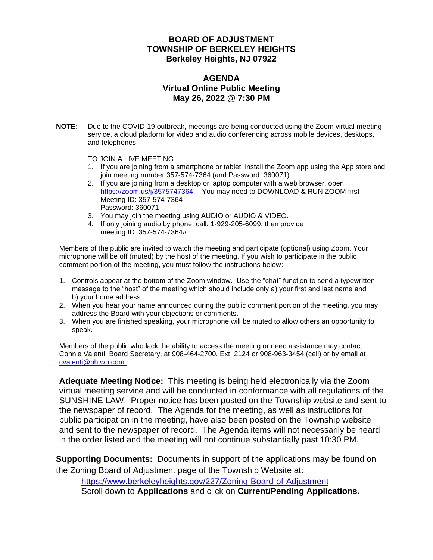#### **BOARD OF ADJUSTMENT TOWNSHIP OF BERKELEY HEIGHTS Berkeley Heights, NJ 07922**

#### **AGENDA Virtual Online Public Meeting May 26, 2022 @ 7:30 PM**

**NOTE:** Due to the COVID-19 outbreak, meetings are being conducted using the Zoom virtual meeting service, a cloud platform for video and audio conferencing across mobile devices, desktops, and telephones.

TO JOIN A LIVE MEETING:

- 1. If you are joining from a smartphone or tablet, install the Zoom app using the App store and join meeting number 357-574-7364 (and Password: 360071).
- 2. If you are joining from a desktop or laptop computer with a web browser, open <https://zoom.us/j/3575747364>--You may need to DOWNLOAD & RUN ZOOM first Meeting ID: 357-574-7364 Password: 360071
- 3. You may join the meeting using AUDIO or AUDIO & VIDEO.
- 4. If only joining audio by phone, call: 1-929-205-6099, then provide meeting ID: 357-574-7364#

Members of the public are invited to watch the meeting and participate (optional) using Zoom. Your microphone will be off (muted) by the host of the meeting. If you wish to participate in the public comment portion of the meeting, you must follow the instructions below:

- 1. Controls appear at the bottom of the Zoom window. Use the "chat" function to send a typewritten message to the "host" of the meeting which should include only a) your first and last name and b) your home address.
- 2. When you hear your name announced during the public comment portion of the meeting, you may address the Board with your objections or comments.
- 3. When you are finished speaking, your microphone will be muted to allow others an opportunity to speak.

Members of the public who lack the ability to access the meeting or need assistance may contact Connie Valenti, Board Secretary, at 908-464-2700, Ext. 2124 or 908-963-3454 (cell) or by email at [cvalenti@bhtwp.com.](mailto:cvalenti@bhtwp.com)

**Adequate Meeting Notice:** This meeting is being held electronically via the Zoom virtual meeting service and will be conducted in conformance with all regulations of the SUNSHINE LAW. Proper notice has been posted on the Township website and sent to the newspaper of record. The Agenda for the meeting, as well as instructions for public participation in the meeting, have also been posted on the Township website and sent to the newspaper of record. The Agenda items will not necessarily be heard in the order listed and the meeting will not continue substantially past 10:30 PM.

**Supporting Documents:** Documents in support of the applications may be found on the Zoning Board of Adjustment page of the Township Website at:

<https://www.berkeleyheights.gov/227/Zoning-Board-of-Adjustment> Scroll down to **Applications** and click on **Current/Pending Applications.**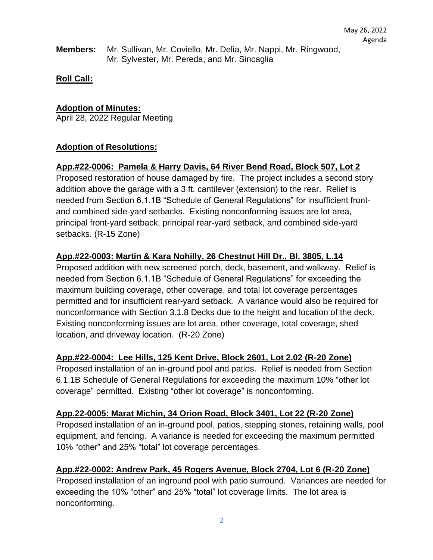**Members:** Mr. Sullivan, Mr. Coviello, Mr. Delia, Mr. Nappi, Mr. Ringwood, Mr. Sylvester, Mr. Pereda, and Mr. Sincaglia

## **Roll Call:**

## **Adoption of Minutes:**

April 28, 2022 Regular Meeting

## **Adoption of Resolutions:**

## **App.#22-0006: Pamela & Harry Davis, 64 River Bend Road, Block 507, Lot 2**

Proposed restoration of house damaged by fire. The project includes a second story addition above the garage with a 3 ft. cantilever (extension) to the rear. Relief is needed from Section 6.1.1B "Schedule of General Regulations" for insufficient frontand combined side-yard setbacks. Existing nonconforming issues are lot area, principal front-yard setback, principal rear-yard setback, and combined side-yard setbacks. (R-15 Zone)

## **App.#22-0003: Martin & Kara Nohilly, 26 Chestnut Hill Dr., Bl. 3805, L.14**

Proposed addition with new screened porch, deck, basement, and walkway. Relief is needed from Section 6.1.1B "Schedule of General Regulations" for exceeding the maximum building coverage, other coverage, and total lot coverage percentages permitted and for insufficient rear-yard setback. A variance would also be required for nonconformance with Section 3.1.8 Decks due to the height and location of the deck. Existing nonconforming issues are lot area, other coverage, total coverage, shed location, and driveway location. (R-20 Zone)

### **App.#22-0004: Lee Hills, 125 Kent Drive, Block 2601, Lot 2.02 (R-20 Zone)**

Proposed installation of an in-ground pool and patios. Relief is needed from Section 6.1.1B Schedule of General Regulations for exceeding the maximum 10% "other lot coverage" permitted. Existing "other lot coverage" is nonconforming.

### **App.22-0005: Marat Michin, 34 Orion Road, Block 3401, Lot 22 (R-20 Zone)**

Proposed installation of an in-ground pool, patios, stepping stones, retaining walls, pool equipment, and fencing. A variance is needed for exceeding the maximum permitted 10% "other" and 25% "total" lot coverage percentages.

### **App.#22-0002: Andrew Park, 45 Rogers Avenue, Block 2704, Lot 6 (R-20 Zone)**

Proposed installation of an inground pool with patio surround. Variances are needed for exceeding the 10% "other" and 25% "total" lot coverage limits. The lot area is nonconforming.